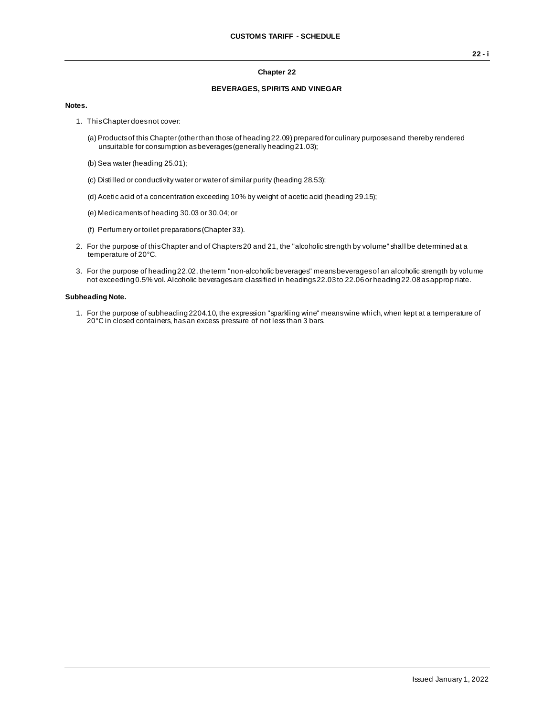#### **Chapter 22**

### **BEVERAGES, SPIRITS AND VINEGAR**

#### **Notes.**

- 1. This Chapter does not cover:
	- (a) Products of this Chapter (other than those of heading 22.09) prepared for culinary purposes and thereby rendered unsuitable for consumption as beverages (generally heading 21.03);
	- (b) Sea water (heading 25.01);
	- (c) Distilled or conductivity water or water of similar purity (heading 28.53);
	- (d) Acetic acid of a concentration exceeding 10% by weight of acetic acid (heading 29.15);
	- (e) Medicaments of heading 30.03 or 30.04; or
	- (f) Perfumery or toilet preparations (Chapter 33).
- 2. For the purpose of this Chapter and of Chapters 20 and 21, the "alcoholic strength by volume" shall be determined at a temperature of 20°C.
- 3. For the purpose of heading 22.02, the term "non-alcoholic beverages" means beverages of an alcoholic strength by volume not exceeding 0.5% vol. Alcoholic beverages are classified in headings 22.03 to 22.06 or heading 22.08 as approp riate.

#### **Subheading Note.**

1. For the purpose of subheading 2204.10, the expression "sparkling wine" means wine which, when kept at a temperature of 20°C in closed containers, has an excess pressure of not less than 3 bars.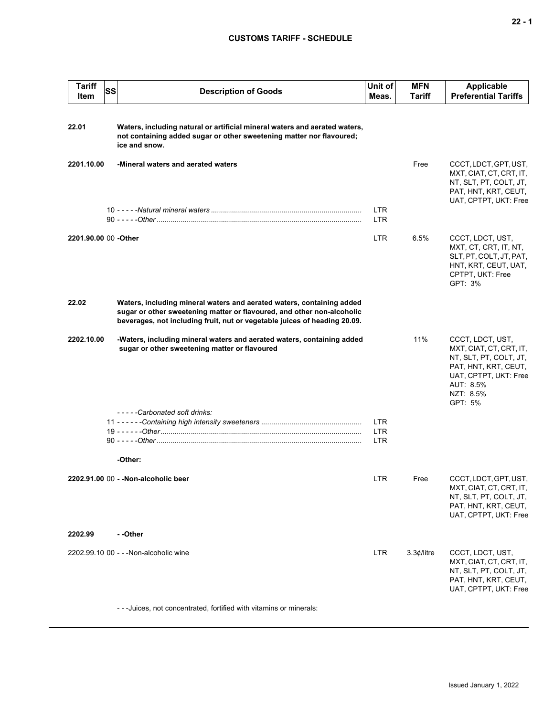| <b>Tariff</b><br>Item | SS | <b>Description of Goods</b>                                                                                                                                                                                                  | Unit of<br>Meas.         | <b>MFN</b><br>Tariff | <b>Applicable</b><br><b>Preferential Tariffs</b>                                                                                                            |
|-----------------------|----|------------------------------------------------------------------------------------------------------------------------------------------------------------------------------------------------------------------------------|--------------------------|----------------------|-------------------------------------------------------------------------------------------------------------------------------------------------------------|
| 22.01                 |    | Waters, including natural or artificial mineral waters and aerated waters,<br>not containing added sugar or other sweetening matter nor flavoured;<br>ice and snow.                                                          |                          |                      |                                                                                                                                                             |
| 2201.10.00            |    | -Mineral waters and aerated waters                                                                                                                                                                                           |                          | Free                 | CCCT, LDCT, GPT, UST,<br>MXT, CIAT, CT, CRT, IT,<br>NT, SLT, PT, COLT, JT,<br>PAT, HNT, KRT, CEUT,<br>UAT, CPTPT, UKT: Free                                 |
|                       |    |                                                                                                                                                                                                                              | LTR.<br><b>LTR</b>       |                      |                                                                                                                                                             |
| 2201.90.00 00 -Other  |    |                                                                                                                                                                                                                              | LTR                      | 6.5%                 | CCCT, LDCT, UST,<br>MXT, CT, CRT, IT, NT,<br>SLT, PT, COLT, JT, PAT,<br>HNT, KRT, CEUT, UAT,<br>CPTPT, UKT: Free<br>GPT: 3%                                 |
| 22.02                 |    | Waters, including mineral waters and aerated waters, containing added<br>sugar or other sweetening matter or flavoured, and other non-alcoholic<br>beverages, not including fruit, nut or vegetable juices of heading 20.09. |                          |                      |                                                                                                                                                             |
| 2202.10.00            |    | -Waters, including mineral waters and aerated waters, containing added<br>sugar or other sweetening matter or flavoured                                                                                                      |                          | 11%                  | CCCT, LDCT, UST,<br>MXT, CIAT, CT, CRT, IT,<br>NT, SLT, PT, COLT, JT,<br>PAT, HNT, KRT, CEUT,<br>UAT, CPTPT, UKT: Free<br>AUT: 8.5%<br>NZT: 8.5%<br>GPT: 5% |
|                       |    | -----Carbonated soft drinks:                                                                                                                                                                                                 | LTR                      |                      |                                                                                                                                                             |
|                       |    |                                                                                                                                                                                                                              | <b>LTR</b><br><b>LTR</b> |                      |                                                                                                                                                             |
|                       |    | -Other:                                                                                                                                                                                                                      |                          |                      |                                                                                                                                                             |
|                       |    | 2202.91.00 00 - -Non-alcoholic beer                                                                                                                                                                                          | LTR.                     | Free                 | CCCT, LDCT, GPT, UST,<br>MXT, CIAT, CT, CRT, IT,<br>NT, SLT, PT, COLT, JT,<br>PAT, HNT, KRT, CEUT,<br>UAT, CPTPT, UKT: Free                                 |
| 2202.99               |    | - -Other                                                                                                                                                                                                                     |                          |                      |                                                                                                                                                             |
|                       |    | 2202.99.10 00 - - - Non-alcoholic wine                                                                                                                                                                                       | <b>LTR</b>               | 3.3¢/litre           | CCCT, LDCT, UST,<br>MXT, CIAT, CT, CRT, IT,<br>NT, SLT, PT, COLT, JT,<br>PAT, HNT, KRT, CEUT,<br>UAT, CPTPT, UKT: Free                                      |

- - -Juices, not concentrated, fortified with vitamins or minerals: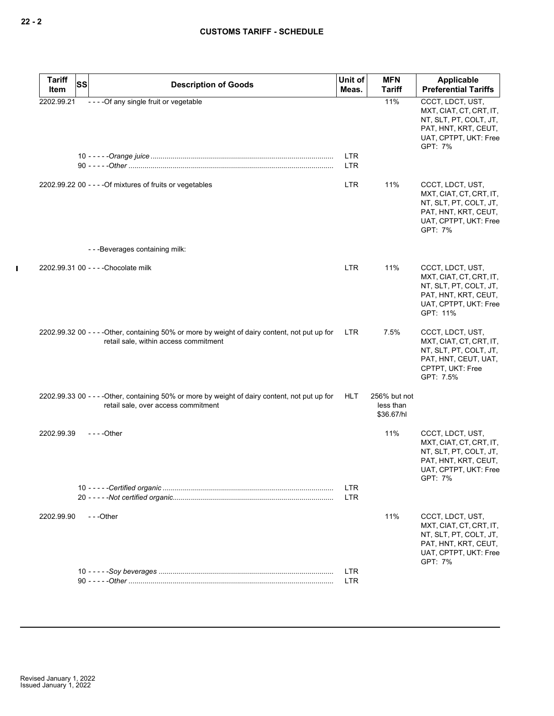| <b>Tariff</b><br>Item | <b>SS</b> | <b>Description of Goods</b>                                                                                                             | Unit of<br>Meas.         | <b>MFN</b><br><b>Tariff</b>             | Applicable<br><b>Preferential Tariffs</b>                                                                                          |
|-----------------------|-----------|-----------------------------------------------------------------------------------------------------------------------------------------|--------------------------|-----------------------------------------|------------------------------------------------------------------------------------------------------------------------------------|
| 2202.99.21            |           | - - - - Of any single fruit or vegetable                                                                                                |                          | 11%                                     | CCCT, LDCT, UST,<br>MXT, CIAT, CT, CRT, IT,<br>NT, SLT, PT, COLT, JT,<br>PAT, HNT, KRT, CEUT,<br>UAT, CPTPT, UKT: Free<br>GPT: 7%  |
|                       |           |                                                                                                                                         | <b>LTR</b><br><b>LTR</b> |                                         |                                                                                                                                    |
|                       |           | 2202.99.22 00 - - - - Of mixtures of fruits or vegetables                                                                               | <b>LTR</b>               | 11%                                     | CCCT, LDCT, UST,<br>MXT, CIAT, CT, CRT, IT,<br>NT, SLT, PT, COLT, JT,<br>PAT, HNT, KRT, CEUT,<br>UAT, CPTPT, UKT: Free<br>GPT: 7%  |
|                       |           | ---Beverages containing milk:                                                                                                           |                          |                                         |                                                                                                                                    |
|                       |           | 2202.99.31 00 - - - - Chocolate milk                                                                                                    | <b>LTR</b>               | 11%                                     | CCCT, LDCT, UST,<br>MXT, CIAT, CT, CRT, IT,<br>NT, SLT, PT, COLT, JT,<br>PAT, HNT, KRT, CEUT,<br>UAT, CPTPT, UKT: Free<br>GPT: 11% |
|                       |           | 2202.99.32 00 - - - - Other, containing 50% or more by weight of dairy content, not put up for<br>retail sale, within access commitment | <b>LTR</b>               | 7.5%                                    | CCCT, LDCT, UST,<br>MXT, CIAT, CT, CRT, IT,<br>NT, SLT, PT, COLT, JT,<br>PAT, HNT, CEUT, UAT,<br>CPTPT, UKT: Free<br>GPT: 7.5%     |
|                       |           | 2202.99.33 00 - - - - Other, containing 50% or more by weight of dairy content, not put up for<br>retail sale, over access commitment   | <b>HLT</b>               | 256% but not<br>less than<br>\$36.67/hl |                                                                                                                                    |
| 2202.99.39            |           | $--$ Other                                                                                                                              |                          | 11%                                     | CCCT, LDCT, UST,<br>MXT, CIAT, CT, CRT, IT,<br>NT, SLT, PT, COLT, JT,<br>PAT, HNT, KRT, CEUT,<br>UAT, CPTPT, UKT: Free<br>GPT: 7%  |
|                       |           |                                                                                                                                         | LTR<br><b>LTR</b>        |                                         |                                                                                                                                    |
| 2202.99.90            |           | ---Other                                                                                                                                |                          | 11%                                     | CCCT, LDCT, UST,<br>MXT, CIAT, CT, CRT, IT,<br>NT, SLT, PT, COLT, JT,<br>PAT, HNT, KRT, CEUT,<br>UAT, CPTPT, UKT: Free<br>GPT: 7%  |
|                       |           |                                                                                                                                         | <b>LTR</b><br>LTR        |                                         |                                                                                                                                    |

 $\mathbf{I}$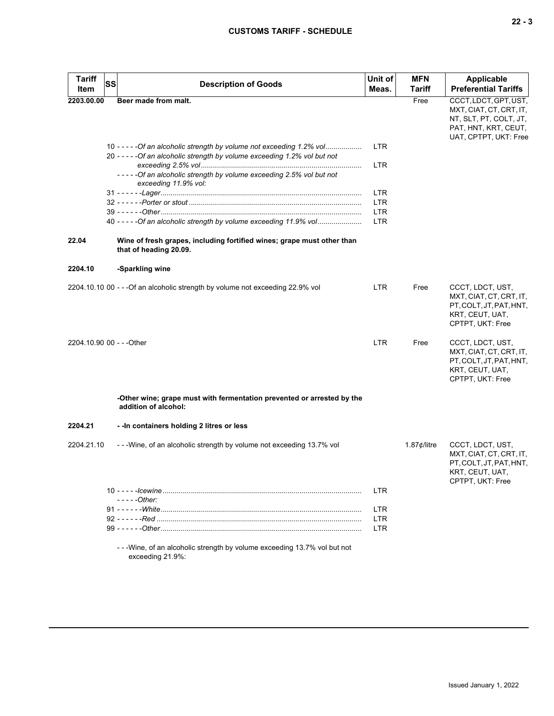| <b>Tariff</b><br>Item     | SS<br><b>Description of Goods</b>                                                                                                                    | Unit of<br>Meas. | <b>MFN</b><br>Tariff  | Applicable<br><b>Preferential Tariffs</b>                                                                                   |
|---------------------------|------------------------------------------------------------------------------------------------------------------------------------------------------|------------------|-----------------------|-----------------------------------------------------------------------------------------------------------------------------|
| 2203.00.00                | Beer made from malt.                                                                                                                                 |                  | Free                  | CCCT, LDCT, GPT, UST,<br>MXT, CIAT, CT, CRT, IT,<br>NT, SLT, PT, COLT, JT,<br>PAT, HNT, KRT, CEUT,<br>UAT, CPTPT, UKT: Free |
|                           | 10 - - - - - Of an alcoholic strength by volume not exceeding 1.2% vol<br>20 - - - - - Of an alcoholic strength by volume exceeding 1.2% vol but not | <b>LTR</b>       |                       |                                                                                                                             |
|                           |                                                                                                                                                      | <b>LTR</b>       |                       |                                                                                                                             |
|                           | -----Of an alcoholic strength by volume exceeding 2.5% vol but not<br>exceeding 11.9% vol:                                                           |                  |                       |                                                                                                                             |
|                           |                                                                                                                                                      | <b>LTR</b>       |                       |                                                                                                                             |
|                           |                                                                                                                                                      | <b>LTR</b>       |                       |                                                                                                                             |
|                           |                                                                                                                                                      | <b>LTR</b>       |                       |                                                                                                                             |
|                           | 40 - - - - - Of an alcoholic strength by volume exceeding 11.9% vol                                                                                  | <b>LTR</b>       |                       |                                                                                                                             |
| 22.04                     | Wine of fresh grapes, including fortified wines; grape must other than<br>that of heading 20.09.                                                     |                  |                       |                                                                                                                             |
| 2204.10                   | -Sparkling wine                                                                                                                                      |                  |                       |                                                                                                                             |
|                           | 2204.10.10 00 - - - Of an alcoholic strength by volume not exceeding 22.9% vol                                                                       | <b>LTR</b>       | Free                  | CCCT, LDCT, UST,<br>MXT, CIAT, CT, CRT, IT,<br>PT, COLT, JT, PAT, HNT,<br>KRT, CEUT, UAT,<br>CPTPT, UKT: Free               |
| 2204.10.90 00 - - - Other |                                                                                                                                                      | <b>LTR</b>       | Free                  | CCCT, LDCT, UST,<br>MXT, CIAT, CT, CRT, IT,<br>PT, COLT, JT, PAT, HNT,<br>KRT, CEUT, UAT,<br>CPTPT, UKT: Free               |
|                           | -Other wine; grape must with fermentation prevented or arrested by the<br>addition of alcohol:                                                       |                  |                       |                                                                                                                             |
| 2204.21                   | - - In containers holding 2 litres or less                                                                                                           |                  |                       |                                                                                                                             |
| 2204.21.10                | ---Wine, of an alcoholic strength by volume not exceeding 13.7% vol                                                                                  |                  | 1.87 $\not\in$ /litre | CCCT, LDCT, UST,<br>MXT, CIAT, CT, CRT, IT,<br>PT, COLT, JT, PAT, HNT,<br>KRT, CEUT, UAT,<br>CPTPT, UKT: Free               |
|                           |                                                                                                                                                      | <b>LTR</b>       |                       |                                                                                                                             |
|                           | - - - - - Other:                                                                                                                                     |                  |                       |                                                                                                                             |
|                           |                                                                                                                                                      | <b>LTR</b>       |                       |                                                                                                                             |
|                           |                                                                                                                                                      | <b>LTR</b>       |                       |                                                                                                                             |
|                           |                                                                                                                                                      | <b>LTR</b>       |                       |                                                                                                                             |
|                           | - - - Wine, of an alcoholic strength by volume exceeding 13.7% vol but not<br>exceeding 21.9%:                                                       |                  |                       |                                                                                                                             |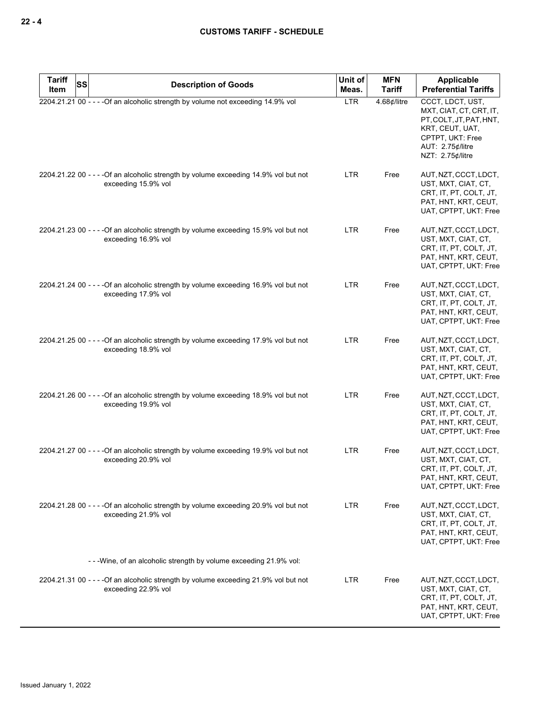| <b>Tariff</b><br>Item | SS | <b>Description of Goods</b>                                                                                 | Unit of<br>Meas. | <b>MFN</b><br><b>Tariff</b> | <b>Applicable</b><br><b>Preferential Tariffs</b>                                                                                                      |
|-----------------------|----|-------------------------------------------------------------------------------------------------------------|------------------|-----------------------------|-------------------------------------------------------------------------------------------------------------------------------------------------------|
|                       |    | 2204.21.21 00 - - - - Of an alcoholic strength by volume not exceeding 14.9% vol                            | <b>LTR</b>       | $4.68$ ¢/litre              | CCCT, LDCT, UST,<br>MXT, CIAT, CT, CRT, IT,<br>PT, COLT, JT, PAT, HNT,<br>KRT, CEUT, UAT,<br>CPTPT, UKT: Free<br>AUT: 2.75¢/litre<br>NZT: 2.75¢/litre |
|                       |    | 2204.21.22 00 - - - - Of an alcoholic strength by volume exceeding 14.9% vol but not<br>exceeding 15.9% vol | LTR              | Free                        | AUT, NZT, CCCT, LDCT,<br>UST, MXT, CIAT, CT,<br>CRT, IT, PT, COLT, JT,<br>PAT, HNT, KRT, CEUT,<br>UAT, CPTPT, UKT: Free                               |
|                       |    | 2204.21.23 00 - - - - Of an alcoholic strength by volume exceeding 15.9% vol but not<br>exceeding 16.9% vol | LTR.             | Free                        | AUT, NZT, CCCT, LDCT,<br>UST, MXT, CIAT, CT,<br>CRT, IT, PT, COLT, JT,<br>PAT, HNT, KRT, CEUT,<br>UAT, CPTPT, UKT: Free                               |
|                       |    | 2204.21.24 00 - - - - Of an alcoholic strength by volume exceeding 16.9% vol but not<br>exceeding 17.9% vol | LTR.             | Free                        | AUT, NZT, CCCT, LDCT,<br>UST, MXT, CIAT, CT,<br>CRT, IT, PT, COLT, JT,<br>PAT, HNT, KRT, CEUT,<br>UAT, CPTPT, UKT: Free                               |
|                       |    | 2204.21.25 00 - - - - Of an alcoholic strength by volume exceeding 17.9% vol but not<br>exceeding 18.9% vol | LTR.             | Free                        | AUT, NZT, CCCT, LDCT,<br>UST, MXT, CIAT, CT,<br>CRT, IT, PT, COLT, JT,<br>PAT, HNT, KRT, CEUT,<br>UAT, CPTPT, UKT: Free                               |
|                       |    | 2204.21.26 00 - - - - Of an alcoholic strength by volume exceeding 18.9% vol but not<br>exceeding 19.9% vol | LTR.             | Free                        | AUT, NZT, CCCT, LDCT,<br>UST, MXT, CIAT, CT,<br>CRT, IT, PT, COLT, JT,<br>PAT, HNT, KRT, CEUT,<br>UAT, CPTPT, UKT: Free                               |
|                       |    | 2204.21.27 00 - - - - Of an alcoholic strength by volume exceeding 19.9% vol but not<br>exceeding 20.9% vol | LTR.             | Free                        | AUT, NZT, CCCT, LDCT,<br>UST, MXT, CIAT, CT,<br>CRT, IT, PT, COLT, JT,<br>PAT, HNT, KRT, CEUT,<br>UAT, CPTPT, UKT: Free                               |
|                       |    | 2204.21.28 00 - - - - Of an alcoholic strength by volume exceeding 20.9% vol but not<br>exceeding 21.9% vol | <b>LTR</b>       | Free                        | AUT, NZT, CCCT, LDCT,<br>UST, MXT, CIAT, CT,<br>CRT, IT, PT, COLT, JT,<br>PAT, HNT, KRT, CEUT,<br>UAT, CPTPT, UKT: Free                               |
|                       |    | - - - Wine, of an alcoholic strength by volume exceeding 21.9% vol:                                         |                  |                             |                                                                                                                                                       |
|                       |    | 2204.21.31 00 - - - - Of an alcoholic strength by volume exceeding 21.9% vol but not<br>exceeding 22.9% vol | <b>LTR</b>       | Free                        | AUT, NZT, CCCT, LDCT,<br>UST, MXT, CIAT, CT,<br>CRT, IT, PT, COLT, JT,<br>PAT, HNT, KRT, CEUT,<br>UAT, CPTPT, UKT: Free                               |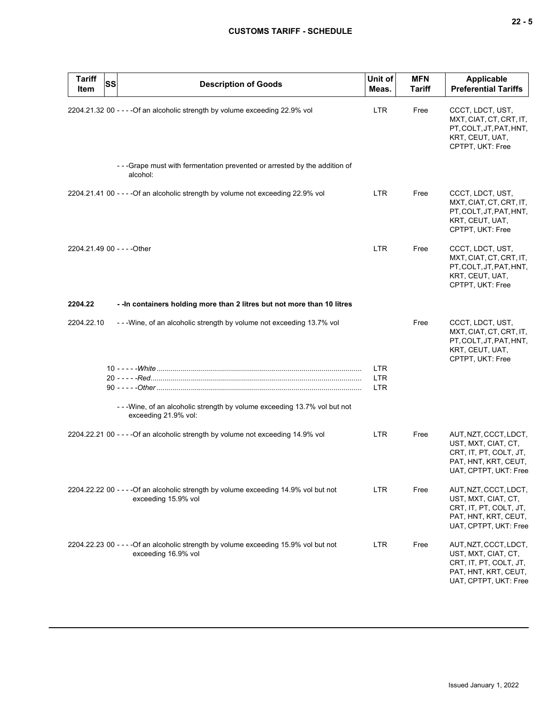| <b>Tariff</b><br>Item       | <b>SS</b> | <b>Description of Goods</b>                                                                                 | Unit of<br>Meas.                       | <b>MFN</b><br><b>Tariff</b> | <b>Applicable</b><br><b>Preferential Tariffs</b>                                                                        |
|-----------------------------|-----------|-------------------------------------------------------------------------------------------------------------|----------------------------------------|-----------------------------|-------------------------------------------------------------------------------------------------------------------------|
|                             |           | 2204.21.32 00 - - - - Of an alcoholic strength by volume exceeding 22.9% vol                                | <b>LTR</b>                             | Free                        | CCCT, LDCT, UST,<br>MXT, CIAT, CT, CRT, IT,<br>PT.COLT.JT.PAT.HNT.<br>KRT, CEUT, UAT,<br>CPTPT, UKT: Free               |
|                             |           | - - - Grape must with fermentation prevented or arrested by the addition of<br>alcohol:                     |                                        |                             |                                                                                                                         |
|                             |           | 2204.21.41 00 - - - - Of an alcoholic strength by volume not exceeding 22.9% vol                            | <b>LTR</b>                             | Free                        | CCCT, LDCT, UST,<br>MXT, CIAT, CT, CRT, IT,<br>PT, COLT, JT, PAT, HNT,<br>KRT, CEUT, UAT,<br>CPTPT, UKT: Free           |
| 2204.21.49 00 - - - - Other |           |                                                                                                             | <b>LTR</b>                             | Free                        | CCCT, LDCT, UST,<br>MXT, CIAT, CT, CRT, IT,<br>PT, COLT, JT, PAT, HNT,<br>KRT, CEUT, UAT,<br>CPTPT, UKT: Free           |
| 2204.22                     |           | -- In containers holding more than 2 litres but not more than 10 litres                                     |                                        |                             |                                                                                                                         |
| 2204.22.10                  |           | --Wine, of an alcoholic strength by volume not exceeding 13.7% vol                                          |                                        | Free                        | CCCT, LDCT, UST,<br>MXT, CIAT, CT, CRT, IT,<br>PT, COLT, JT, PAT, HNT,<br>KRT, CEUT, UAT,<br>CPTPT, UKT: Free           |
|                             |           |                                                                                                             | <b>LTR</b><br><b>LTR</b><br><b>LTR</b> |                             |                                                                                                                         |
|                             |           | - - - Wine, of an alcoholic strength by volume exceeding 13.7% vol but not<br>exceeding 21.9% vol:          |                                        |                             |                                                                                                                         |
|                             |           | 2204.22.21 00 - - - - Of an alcoholic strength by volume not exceeding 14.9% vol                            | LTR.                                   | Free                        | AUT, NZT, CCCT, LDCT,<br>UST, MXT, CIAT, CT,<br>CRT, IT, PT, COLT, JT,<br>PAT, HNT, KRT, CEUT,<br>UAT, CPTPT, UKT: Free |
|                             |           | 2204.22.22 00 - - - - Of an alcoholic strength by volume exceeding 14.9% vol but not<br>exceeding 15.9% vol | <b>LTR</b>                             | Free                        | AUT, NZT, CCCT, LDCT,<br>UST, MXT, CIAT, CT,<br>CRT, IT, PT, COLT, JT,<br>PAT, HNT, KRT, CEUT,<br>UAT, CPTPT, UKT: Free |
|                             |           | 2204.22.23 00 - - - - Of an alcoholic strength by volume exceeding 15.9% vol but not<br>exceeding 16.9% vol | <b>LTR</b>                             | Free                        | AUT, NZT, CCCT, LDCT,<br>UST, MXT, CIAT, CT,<br>CRT, IT, PT, COLT, JT,<br>PAT, HNT, KRT, CEUT,<br>UAT, CPTPT, UKT: Free |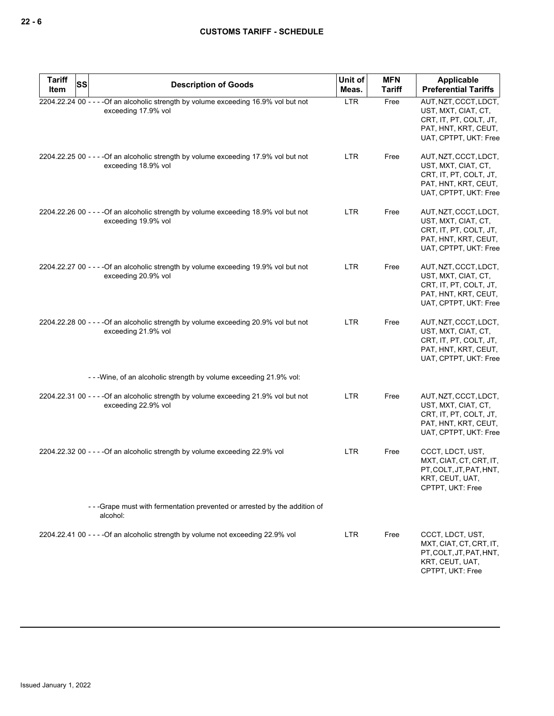| <b>Tariff</b><br>Item | SS | <b>Description of Goods</b>                                                                                 | Unit of<br>Meas. | <b>MFN</b><br><b>Tariff</b> | Applicable<br><b>Preferential Tariffs</b>                                                                               |
|-----------------------|----|-------------------------------------------------------------------------------------------------------------|------------------|-----------------------------|-------------------------------------------------------------------------------------------------------------------------|
|                       |    | 2204.22.24 00 - - - - Of an alcoholic strength by volume exceeding 16.9% vol but not<br>exceeding 17.9% vol | <b>LTR</b>       | Free                        | AUT, NZT, CCCT, LDCT,<br>UST, MXT, CIAT, CT,<br>CRT, IT, PT, COLT, JT,<br>PAT, HNT, KRT, CEUT,<br>UAT, CPTPT, UKT: Free |
|                       |    | 2204.22.25 00 - - - - Of an alcoholic strength by volume exceeding 17.9% vol but not<br>exceeding 18.9% vol | LTR              | Free                        | AUT, NZT, CCCT, LDCT,<br>UST, MXT, CIAT, CT,<br>CRT, IT, PT, COLT, JT,<br>PAT, HNT, KRT, CEUT,<br>UAT, CPTPT, UKT: Free |
|                       |    | 2204.22.26 00 - - - - Of an alcoholic strength by volume exceeding 18.9% vol but not<br>exceeding 19.9% vol | <b>LTR</b>       | Free                        | AUT, NZT, CCCT, LDCT,<br>UST, MXT, CIAT, CT,<br>CRT, IT, PT, COLT, JT,<br>PAT, HNT, KRT, CEUT,<br>UAT, CPTPT, UKT: Free |
|                       |    | 2204.22.27 00 - - - - Of an alcoholic strength by volume exceeding 19.9% vol but not<br>exceeding 20.9% vol | <b>LTR</b>       | Free                        | AUT, NZT, CCCT, LDCT,<br>UST, MXT, CIAT, CT,<br>CRT, IT, PT, COLT, JT,<br>PAT, HNT, KRT, CEUT,<br>UAT, CPTPT, UKT: Free |
|                       |    | 2204.22.28 00 - - - - Of an alcoholic strength by volume exceeding 20.9% vol but not<br>exceeding 21.9% vol | LTR              | Free                        | AUT, NZT, CCCT, LDCT,<br>UST, MXT, CIAT, CT,<br>CRT, IT, PT, COLT, JT,<br>PAT, HNT, KRT, CEUT,<br>UAT, CPTPT, UKT: Free |
|                       |    | - - - Wine, of an alcoholic strength by volume exceeding 21.9% vol:                                         |                  |                             |                                                                                                                         |
|                       |    | 2204.22.31 00 - - - - Of an alcoholic strength by volume exceeding 21.9% vol but not<br>exceeding 22.9% vol | <b>LTR</b>       | Free                        | AUT, NZT, CCCT, LDCT,<br>UST, MXT, CIAT, CT,<br>CRT, IT, PT, COLT, JT,<br>PAT, HNT, KRT, CEUT,<br>UAT, CPTPT, UKT: Free |
|                       |    | 2204.22.32 00 - - - - Of an alcoholic strength by volume exceeding 22.9% vol                                | <b>LTR</b>       | Free                        | CCCT, LDCT, UST,<br>MXT, CIAT, CT, CRT, IT,<br>PT.COLT.JT.PAT.HNT.<br>KRT, CEUT, UAT,<br>CPTPT, UKT: Free               |
|                       |    | - - - Grape must with fermentation prevented or arrested by the addition of<br>alcohol:                     |                  |                             |                                                                                                                         |
|                       |    | 2204.22.41 00 - - - - Of an alcoholic strength by volume not exceeding 22.9% vol                            | <b>LTR</b>       | Free                        | CCCT, LDCT, UST,<br>MXT, CIAT, CT, CRT, IT,<br>PT, COLT, JT, PAT, HNT,<br>KRT, CEUT, UAT,<br>CPTPT, UKT: Free           |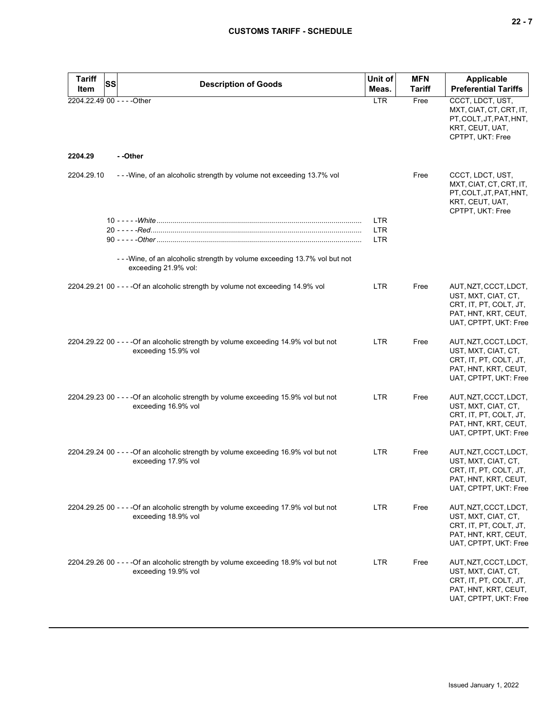| <b>Tariff</b><br><b>SS</b>  | <b>Description of Goods</b>                                                                                 | Unit of    | <b>MFN</b>    | Applicable                                                                                                              |
|-----------------------------|-------------------------------------------------------------------------------------------------------------|------------|---------------|-------------------------------------------------------------------------------------------------------------------------|
| Item                        |                                                                                                             | Meas.      | <b>Tariff</b> | <b>Preferential Tariffs</b>                                                                                             |
| 2204.22.49 00 - - - - Other |                                                                                                             | <b>LTR</b> | Free          | CCCT, LDCT, UST,<br>MXT, CIAT, CT, CRT, IT,<br>PT, COLT, JT, PAT, HNT,<br>KRT, CEUT, UAT,<br>CPTPT, UKT: Free           |
| 2204.29                     | --Other                                                                                                     |            |               |                                                                                                                         |
| 2204.29.10                  | - - - Wine, of an alcoholic strength by volume not exceeding 13.7% vol                                      |            | Free          | CCCT, LDCT, UST,<br>MXT, CIAT, CT, CRT, IT,<br>PT, COLT, JT, PAT, HNT,<br>KRT, CEUT, UAT,<br>CPTPT, UKT: Free           |
|                             |                                                                                                             | <b>LTR</b> |               |                                                                                                                         |
|                             |                                                                                                             | <b>LTR</b> |               |                                                                                                                         |
|                             |                                                                                                             | <b>LTR</b> |               |                                                                                                                         |
|                             | - - - Wine, of an alcoholic strength by volume exceeding 13.7% vol but not<br>exceeding 21.9% vol:          |            |               |                                                                                                                         |
|                             | 2204.29.21 00 - - - - Of an alcoholic strength by volume not exceeding 14.9% vol                            | <b>LTR</b> | Free          | AUT, NZT, CCCT, LDCT,<br>UST, MXT, CIAT, CT,<br>CRT, IT, PT, COLT, JT,<br>PAT, HNT, KRT, CEUT,<br>UAT, CPTPT, UKT: Free |
|                             | 2204.29.22 00 - - - - Of an alcoholic strength by volume exceeding 14.9% vol but not<br>exceeding 15.9% vol | <b>LTR</b> | Free          | AUT, NZT, CCCT, LDCT,<br>UST, MXT, CIAT, CT,<br>CRT, IT, PT, COLT, JT,<br>PAT, HNT, KRT, CEUT,<br>UAT, CPTPT, UKT: Free |
|                             | 2204.29.23 00 - - - - Of an alcoholic strength by volume exceeding 15.9% vol but not<br>exceeding 16.9% vol | <b>LTR</b> | Free          | AUT, NZT, CCCT, LDCT,<br>UST, MXT, CIAT, CT,<br>CRT, IT, PT, COLT, JT,<br>PAT, HNT, KRT, CEUT,<br>UAT, CPTPT, UKT: Free |
|                             | 2204.29.24 00 - - - - Of an alcoholic strength by volume exceeding 16.9% vol but not<br>exceeding 17.9% vol | <b>LTR</b> | Free          | AUT, NZT, CCCT, LDCT,<br>UST, MXT, CIAT, CT,<br>CRT, IT, PT, COLT, JT,<br>PAT, HNT, KRT, CEUT,<br>UAT, CPTPT, UKT: Free |
|                             | 2204.29.25 00 - - - - Of an alcoholic strength by volume exceeding 17.9% vol but not<br>exceeding 18.9% vol | <b>LTR</b> | Free          | AUT, NZT, CCCT, LDCT,<br>UST, MXT, CIAT, CT,<br>CRT, IT, PT, COLT, JT,<br>PAT, HNT, KRT, CEUT,<br>UAT, CPTPT, UKT: Free |
|                             | 2204.29.26 00 - - - - Of an alcoholic strength by volume exceeding 18.9% vol but not<br>exceeding 19.9% vol | LTR        | Free          | AUT, NZT, CCCT, LDCT,<br>UST, MXT, CIAT, CT,<br>CRT, IT, PT, COLT, JT,<br>PAT, HNT, KRT, CEUT,<br>UAT, CPTPT, UKT: Free |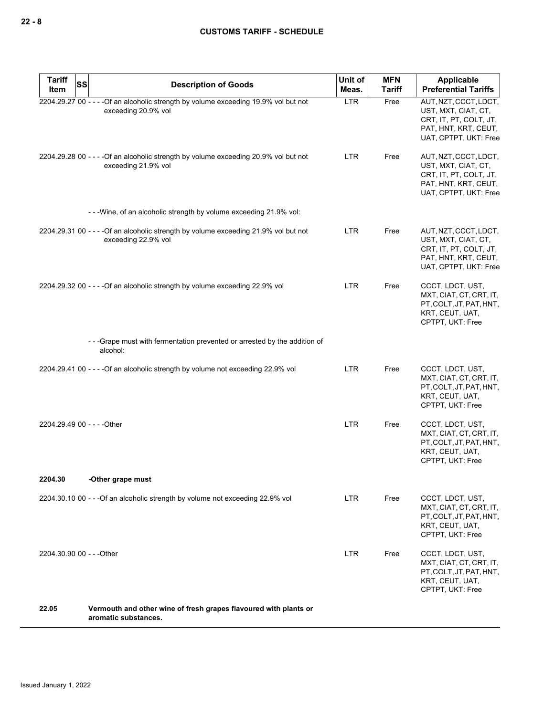| <b>Tariff</b><br><b>SS</b><br>Item | <b>Description of Goods</b>                                                                                 | Unit of<br>Meas. | <b>MFN</b><br><b>Tariff</b> | <b>Applicable</b><br><b>Preferential Tariffs</b>                                                                        |
|------------------------------------|-------------------------------------------------------------------------------------------------------------|------------------|-----------------------------|-------------------------------------------------------------------------------------------------------------------------|
|                                    | 2204.29.27 00 - - - - Of an alcoholic strength by volume exceeding 19.9% vol but not<br>exceeding 20.9% vol | <b>LTR</b>       | Free                        | AUT, NZT, CCCT, LDCT,<br>UST, MXT, CIAT, CT,<br>CRT, IT, PT, COLT, JT,<br>PAT, HNT, KRT, CEUT,<br>UAT, CPTPT, UKT: Free |
|                                    | 2204.29.28 00 - - - - Of an alcoholic strength by volume exceeding 20.9% vol but not<br>exceeding 21.9% vol | <b>LTR</b>       | Free                        | AUT, NZT, CCCT, LDCT,<br>UST, MXT, CIAT, CT,<br>CRT, IT, PT, COLT, JT,<br>PAT, HNT, KRT, CEUT,<br>UAT, CPTPT, UKT: Free |
|                                    | - - - Wine, of an alcoholic strength by volume exceeding 21.9% vol:                                         |                  |                             |                                                                                                                         |
|                                    | 2204.29.31 00 - - - - Of an alcoholic strength by volume exceeding 21.9% vol but not<br>exceeding 22.9% vol | LTR              | Free                        | AUT, NZT, CCCT, LDCT,<br>UST, MXT, CIAT, CT,<br>CRT, IT, PT, COLT, JT,<br>PAT, HNT, KRT, CEUT,<br>UAT, CPTPT, UKT: Free |
|                                    | 2204.29.32 00 - - - - Of an alcoholic strength by volume exceeding 22.9% vol                                | LTR.             | Free                        | CCCT, LDCT, UST,<br>MXT, CIAT, CT, CRT, IT,<br>PT, COLT, JT, PAT, HNT,<br>KRT, CEUT, UAT,<br>CPTPT, UKT: Free           |
|                                    | - - - Grape must with fermentation prevented or arrested by the addition of<br>alcohol:                     |                  |                             |                                                                                                                         |
|                                    | 2204.29.41 00 - - - - Of an alcoholic strength by volume not exceeding 22.9% vol                            | <b>LTR</b>       | Free                        | CCCT, LDCT, UST,<br>MXT, CIAT, CT, CRT, IT,<br>PT, COLT, JT, PAT, HNT,<br>KRT, CEUT, UAT,<br>CPTPT, UKT: Free           |
| 2204.29.49 00 - - - - Other        |                                                                                                             | LTR              | Free                        | CCCT, LDCT, UST,<br>MXT, CIAT, CT, CRT, IT,<br>PT, COLT, JT, PAT, HNT,<br>KRT, CEUT, UAT,<br>CPTPT, UKT: Free           |
| 2204.30                            | -Other grape must                                                                                           |                  |                             |                                                                                                                         |
|                                    | 2204.30.10 00 - - - Of an alcoholic strength by volume not exceeding 22.9% vol                              | LTR.             | Free                        | CCCT, LDCT, UST,<br>MXT, CIAT, CT, CRT, IT,<br>PT, COLT, JT, PAT, HNT,<br>KRT, CEUT, UAT,<br>CPTPT, UKT: Free           |
| 2204.30.90 00 - - - Other          |                                                                                                             | LTR              | Free                        | CCCT, LDCT, UST,<br>MXT, CIAT, CT, CRT, IT,<br>PT, COLT, JT, PAT, HNT,<br>KRT, CEUT, UAT,<br>CPTPT, UKT: Free           |
| 22.05                              | Vermouth and other wine of fresh grapes flavoured with plants or<br>aromatic substances.                    |                  |                             |                                                                                                                         |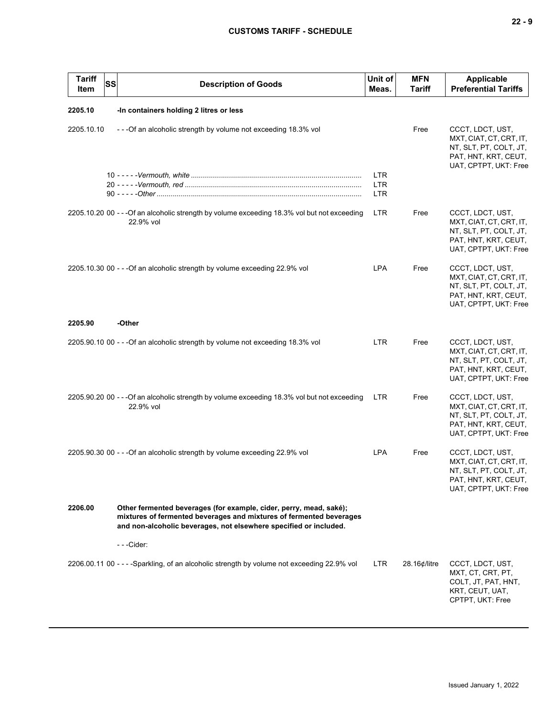| <b>Tariff</b><br>Item | <b>SS</b> | <b>Description of Goods</b>                                                                                                                                                                                    | Unit of<br>Meas.                       | <b>MFN</b><br><b>Tariff</b> | <b>Applicable</b><br><b>Preferential Tariffs</b>                                                                       |
|-----------------------|-----------|----------------------------------------------------------------------------------------------------------------------------------------------------------------------------------------------------------------|----------------------------------------|-----------------------------|------------------------------------------------------------------------------------------------------------------------|
| 2205.10               |           | -In containers holding 2 litres or less                                                                                                                                                                        |                                        |                             |                                                                                                                        |
| 2205.10.10            |           | ---Of an alcoholic strength by volume not exceeding 18.3% vol                                                                                                                                                  |                                        | Free                        | CCCT, LDCT, UST,<br>MXT, CIAT, CT, CRT, IT,<br>NT, SLT, PT, COLT, JT,<br>PAT, HNT, KRT, CEUT,<br>UAT, CPTPT, UKT: Free |
|                       |           |                                                                                                                                                                                                                | <b>LTR</b><br><b>LTR</b><br><b>LTR</b> |                             |                                                                                                                        |
|                       |           | 2205.10.20 00 - - - Of an alcoholic strength by volume exceeding 18.3% vol but not exceeding<br>22.9% vol                                                                                                      | <b>LTR</b>                             | Free                        | CCCT, LDCT, UST,<br>MXT, CIAT, CT, CRT, IT,<br>NT, SLT, PT, COLT, JT,<br>PAT, HNT, KRT, CEUT,<br>UAT, CPTPT, UKT: Free |
|                       |           | 2205.10.30 00 - - - Of an alcoholic strength by volume exceeding 22.9% vol                                                                                                                                     | <b>LPA</b>                             | Free                        | CCCT, LDCT, UST,<br>MXT, CIAT, CT, CRT, IT,<br>NT, SLT, PT, COLT, JT,<br>PAT, HNT, KRT, CEUT,<br>UAT, CPTPT, UKT: Free |
| 2205.90               |           | -Other                                                                                                                                                                                                         |                                        |                             |                                                                                                                        |
|                       |           | 2205.90.10 00 - - - Of an alcoholic strength by volume not exceeding 18.3% vol                                                                                                                                 | <b>LTR</b>                             | Free                        | CCCT, LDCT, UST,<br>MXT, CIAT, CT, CRT, IT,<br>NT, SLT, PT, COLT, JT,<br>PAT, HNT, KRT, CEUT,<br>UAT, CPTPT, UKT: Free |
|                       |           | 2205.90.20 00 - - - Of an alcoholic strength by volume exceeding 18.3% vol but not exceeding<br>22.9% vol                                                                                                      | <b>LTR</b>                             | Free                        | CCCT, LDCT, UST,<br>MXT, CIAT, CT, CRT, IT,<br>NT, SLT, PT, COLT, JT,<br>PAT, HNT, KRT, CEUT,<br>UAT, CPTPT, UKT: Free |
|                       |           | 2205.90.30 00 - - - Of an alcoholic strength by volume exceeding 22.9% vol                                                                                                                                     | <b>LPA</b>                             | Free                        | CCCT, LDCT, UST,<br>MXT, CIAT, CT, CRT, IT,<br>NT, SLT, PT, COLT, JT,<br>PAT, HNT, KRT, CEUT,<br>UAT, CPTPT, UKT: Free |
| 2206.00               |           | Other fermented beverages (for example, cider, perry, mead, saké);<br>mixtures of fermented beverages and mixtures of fermented beverages<br>and non-alcoholic beverages, not elsewhere specified or included. |                                        |                             |                                                                                                                        |
|                       |           |                                                                                                                                                                                                                |                                        |                             |                                                                                                                        |
|                       |           | 2206.00.11 00 - - - - Sparkling, of an alcoholic strength by volume not exceeding 22.9% vol                                                                                                                    | LTR.                                   | 28.16¢/litre                | CCCT, LDCT, UST,<br>MXT, CT, CRT, PT,<br>COLT, JT, PAT, HNT,<br>KRT, CEUT, UAT,<br>CPTPT, UKT: Free                    |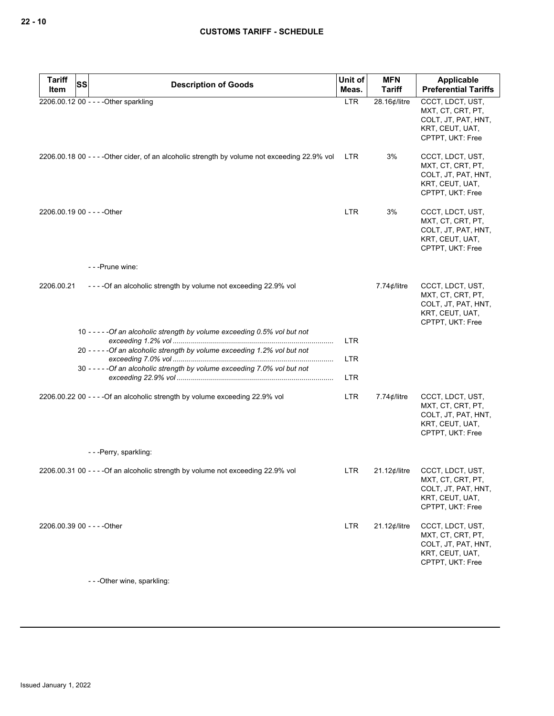| <b>Tariff</b><br>Item | <b>SS</b><br><b>Description of Goods</b>                                                      | Unit of<br>Meas. | <b>MFN</b><br><b>Tariff</b> | Applicable<br><b>Preferential Tariffs</b>                                                           |
|-----------------------|-----------------------------------------------------------------------------------------------|------------------|-----------------------------|-----------------------------------------------------------------------------------------------------|
|                       | 2206.00.12 00 - - - - Other sparkling                                                         | <b>LTR</b>       | 28.16¢/litre                | CCCT, LDCT, UST,<br>MXT, CT, CRT, PT,<br>COLT, JT, PAT, HNT,<br>KRT, CEUT, UAT,<br>CPTPT, UKT: Free |
|                       | 2206.00.18 00 - - - - Other cider, of an alcoholic strength by volume not exceeding 22.9% vol | LTR.             | 3%                          | CCCT, LDCT, UST,<br>MXT, CT, CRT, PT,<br>COLT, JT, PAT, HNT,<br>KRT, CEUT, UAT,<br>CPTPT, UKT: Free |
|                       | 2206.00.19 00 - - - - Other                                                                   | <b>LTR</b>       | 3%                          | CCCT, LDCT, UST,<br>MXT, CT, CRT, PT,<br>COLT, JT, PAT, HNT,<br>KRT, CEUT, UAT,<br>CPTPT, UKT: Free |
|                       | - - - Prune wine:                                                                             |                  |                             |                                                                                                     |
| 2206.00.21            | ----Of an alcoholic strength by volume not exceeding 22.9% vol                                |                  | 7.74 $\phi$ /litre          | CCCT, LDCT, UST,<br>MXT, CT, CRT, PT,<br>COLT, JT, PAT, HNT,<br>KRT, CEUT, UAT,<br>CPTPT, UKT: Free |
|                       | 10 - - - - - Of an alcoholic strength by volume exceeding 0.5% vol but not                    | <b>LTR</b>       |                             |                                                                                                     |
|                       | 20 - - - - - Of an alcoholic strength by volume exceeding 1.2% vol but not                    | <b>LTR</b>       |                             |                                                                                                     |
|                       | 30 - - - - - Of an alcoholic strength by volume exceeding 7.0% vol but not                    | <b>LTR</b>       |                             |                                                                                                     |
|                       | 2206.00.22 00 - - - - Of an alcoholic strength by volume exceeding 22.9% vol                  | <b>LTR</b>       | 7.74 $\phi$ /litre          | CCCT, LDCT, UST,<br>MXT, CT, CRT, PT,<br>COLT, JT, PAT, HNT,<br>KRT, CEUT, UAT,<br>CPTPT, UKT: Free |
|                       | ---Perry, sparkling:                                                                          |                  |                             |                                                                                                     |
|                       | 2206.00.31 00 - - - - Of an alcoholic strength by volume not exceeding 22.9% vol              | LTR.             | 21.12¢/litre                | CCCT, LDCT, UST,<br>MXT, CT, CRT, PT,<br>COLT, JT, PAT, HNT,<br>KRT, CEUT, UAT,<br>CPTPT, UKT: Free |
|                       | 2206.00.39 00 - - - - Other                                                                   | <b>LTR</b>       | $21.12$ ¢/litre             | CCCT, LDCT, UST,<br>MXT, CT, CRT, PT,<br>COLT, JT, PAT, HNT,<br>KRT, CEUT, UAT,<br>CPTPT, UKT: Free |

- - -Other wine, sparkling: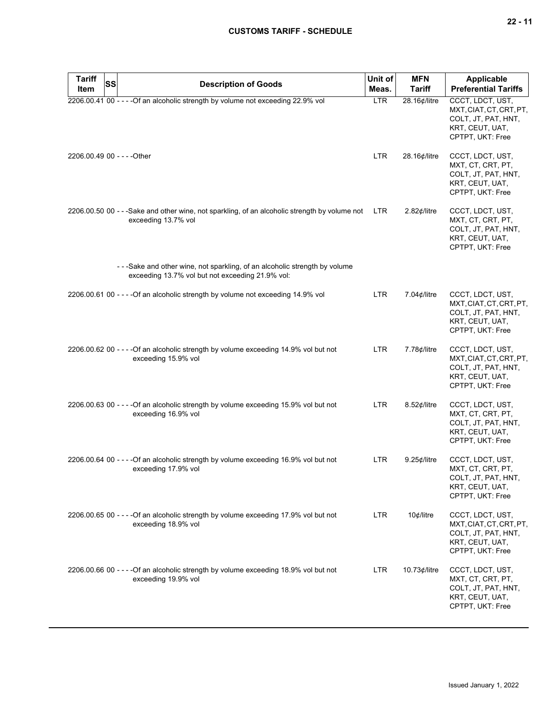| <b>Tariff</b><br><b>SS</b><br>Item | <b>Description of Goods</b>                                                                                                     | Unit of<br>Meas. | <b>MFN</b><br><b>Tariff</b> | Applicable<br><b>Preferential Tariffs</b>                                                                 |
|------------------------------------|---------------------------------------------------------------------------------------------------------------------------------|------------------|-----------------------------|-----------------------------------------------------------------------------------------------------------|
|                                    | 2206.00.41 00 - - - - Of an alcoholic strength by volume not exceeding 22.9% vol                                                | <b>LTR</b>       | 28.16¢/litre                | CCCT, LDCT, UST,<br>MXT, CIAT, CT, CRT, PT,<br>COLT, JT, PAT, HNT,<br>KRT, CEUT, UAT,<br>CPTPT, UKT: Free |
| 2206.00.49 00 - - - - Other        |                                                                                                                                 | LTR.             | 28.16¢/litre                | CCCT, LDCT, UST,<br>MXT, CT, CRT, PT,<br>COLT, JT, PAT, HNT,<br>KRT, CEUT, UAT,<br>CPTPT, UKT: Free       |
|                                    | 2206.00.50 00 - - -Sake and other wine, not sparkling, of an alcoholic strength by volume not<br>exceeding 13.7% vol            | LTR              | $2.82$ ¢/litre              | CCCT, LDCT, UST,<br>MXT, CT, CRT, PT,<br>COLT, JT, PAT, HNT,<br>KRT, CEUT, UAT,<br>CPTPT, UKT: Free       |
|                                    | - - -Sake and other wine, not sparkling, of an alcoholic strength by volume<br>exceeding 13.7% vol but not exceeding 21.9% vol: |                  |                             |                                                                                                           |
|                                    | 2206.00.61 00 - - - - Of an alcoholic strength by volume not exceeding 14.9% vol                                                | <b>LTR</b>       | 7.04 $¢$ /litre             | CCCT, LDCT, UST,<br>MXT, CIAT, CT, CRT, PT,<br>COLT, JT, PAT, HNT,<br>KRT, CEUT, UAT,<br>CPTPT, UKT: Free |
|                                    | 2206.00.62 00 - - - - Of an alcoholic strength by volume exceeding 14.9% vol but not<br>exceeding 15.9% vol                     | <b>LTR</b>       | 7.78¢/litre                 | CCCT, LDCT, UST,<br>MXT, CIAT, CT, CRT, PT,<br>COLT, JT, PAT, HNT,<br>KRT, CEUT, UAT,<br>CPTPT, UKT: Free |
|                                    | 2206.00.63 00 - - - - Of an alcoholic strength by volume exceeding 15.9% vol but not<br>exceeding 16.9% vol                     | LTR.             | $8.52$ <i>¢</i> /litre      | CCCT, LDCT, UST,<br>MXT, CT, CRT, PT,<br>COLT, JT, PAT, HNT,<br>KRT, CEUT, UAT,<br>CPTPT, UKT: Free       |
|                                    | 2206.00.64 00 - - - - Of an alcoholic strength by volume exceeding 16.9% vol but not<br>exceeding 17.9% vol                     | LTR              | $9.25$ ¢/litre              | CCCT, LDCT, UST,<br>MXT, CT, CRT, PT,<br>COLT, JT, PAT, HNT,<br>KRT, CEUT, UAT,<br>CPTPT, UKT: Free       |
|                                    | 2206.00.65 00 - - - - Of an alcoholic strength by volume exceeding 17.9% vol but not<br>exceeding 18.9% vol                     | LTR              | 10¢/litre                   | CCCT, LDCT, UST,<br>MXT, CIAT, CT, CRT, PT,<br>COLT, JT, PAT, HNT,<br>KRT, CEUT, UAT,<br>CPTPT, UKT: Free |
|                                    | 2206.00.66 00 - - - - Of an alcoholic strength by volume exceeding 18.9% vol but not<br>exceeding 19.9% vol                     | LTR.             | $10.73$ ¢/litre             | CCCT, LDCT, UST,<br>MXT, CT, CRT, PT,<br>COLT, JT, PAT, HNT,<br>KRT, CEUT, UAT,<br>CPTPT, UKT: Free       |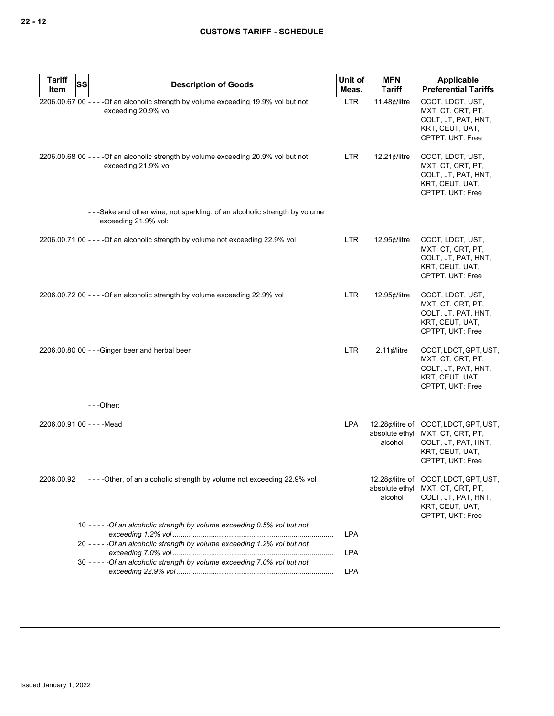| <b>Tariff</b>              | <b>SS</b> |                                                                                                             | Unit of    | <b>MFN</b>                | <b>Applicable</b>                                                                                                        |
|----------------------------|-----------|-------------------------------------------------------------------------------------------------------------|------------|---------------------------|--------------------------------------------------------------------------------------------------------------------------|
| Item                       |           | <b>Description of Goods</b>                                                                                 | Meas.      | <b>Tariff</b>             | <b>Preferential Tariffs</b>                                                                                              |
|                            |           | 2206.00.67 00 - - - - Of an alcoholic strength by volume exceeding 19.9% vol but not<br>exceeding 20.9% vol | <b>LTR</b> | 11.48¢/litre              | CCCT, LDCT, UST,<br>MXT, CT, CRT, PT,<br>COLT, JT, PAT, HNT,<br>KRT, CEUT, UAT,<br>CPTPT, UKT: Free                      |
|                            |           | 2206.00.68 00 - - - - Of an alcoholic strength by volume exceeding 20.9% vol but not<br>exceeding 21.9% vol | LTR.       | $12.21$ ¢/litre           | CCCT, LDCT, UST,<br>MXT, CT, CRT, PT,<br>COLT, JT, PAT, HNT,<br>KRT, CEUT, UAT,<br>CPTPT, UKT: Free                      |
|                            |           | --Sake and other wine, not sparkling, of an alcoholic strength by volume<br>exceeding 21.9% vol:            |            |                           |                                                                                                                          |
|                            |           | 2206.00.71 00 - - - - Of an alcoholic strength by volume not exceeding 22.9% vol                            | LTR        | 12.95¢/litre              | CCCT, LDCT, UST,<br>MXT, CT, CRT, PT,<br>COLT, JT, PAT, HNT,<br>KRT, CEUT, UAT,<br>CPTPT, UKT: Free                      |
|                            |           | 2206.00.72 00 - - - - Of an alcoholic strength by volume exceeding 22.9% vol                                | LTR        | 12.95¢/litre              | CCCT, LDCT, UST,<br>MXT, CT, CRT, PT,<br>COLT, JT, PAT, HNT,<br>KRT, CEUT, UAT,<br>CPTPT, UKT: Free                      |
|                            |           | 2206.00.80 00 - - - Ginger beer and herbal beer                                                             | LTR        | 2.11 $¢$ /litre           | CCCT, LDCT, GPT, UST,<br>MXT, CT, CRT, PT,<br>COLT, JT, PAT, HNT,<br>KRT, CEUT, UAT,<br>CPTPT, UKT: Free                 |
|                            |           | $--$ Other:                                                                                                 |            |                           |                                                                                                                          |
| 2206.00.91 00 - - - - Mead |           |                                                                                                             | <b>LPA</b> | absolute ethyl<br>alcohol | 12.28¢/litre of CCCT, LDCT, GPT, UST,<br>MXT, CT, CRT, PT,<br>COLT, JT, PAT, HNT,<br>KRT, CEUT, UAT,<br>CPTPT, UKT: Free |
|                            |           | 2206.00.92 ---- Other, of an alcoholic strength by volume not exceeding 22.9% vol                           |            | absolute ethyl<br>alcohol | 12.28¢/litre of CCCT, LDCT, GPT, UST,<br>MXT, CT, CRT, PT,<br>COLT, JT, PAT, HNT,<br>KRT, CEUT, UAT,<br>CPTPT, UKT: Free |
|                            |           | 10 - - - - - Of an alcoholic strength by volume exceeding 0.5% vol but not                                  | LPA        |                           |                                                                                                                          |
|                            |           | 20 - - - - - Of an alcoholic strength by volume exceeding 1.2% vol but not                                  | <b>LPA</b> |                           |                                                                                                                          |
|                            |           | 30 - - - - - Of an alcoholic strength by volume exceeding 7.0% vol but not                                  | LPA        |                           |                                                                                                                          |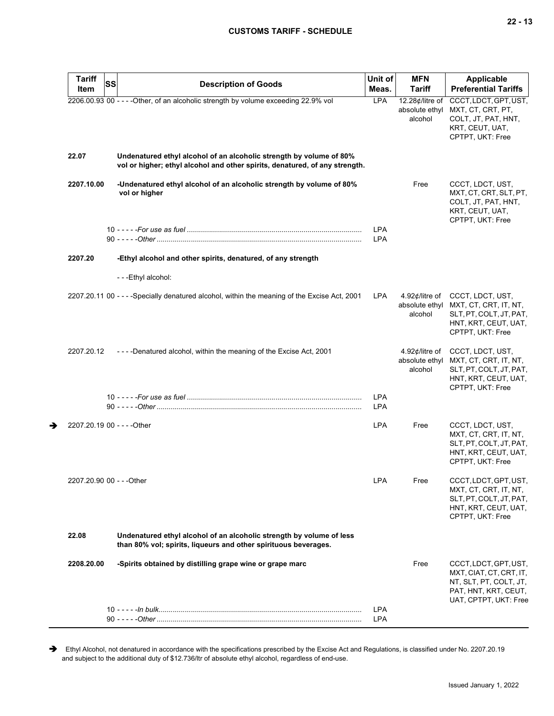| <b>Tariff</b><br>Item       | <b>SS</b> | <b>Description of Goods</b>                                                                                                                        | Unit of<br>Meas.         | <b>MFN</b><br><b>Tariff</b>                                    | <b>Applicable</b><br><b>Preferential Tariffs</b>                                                                            |
|-----------------------------|-----------|----------------------------------------------------------------------------------------------------------------------------------------------------|--------------------------|----------------------------------------------------------------|-----------------------------------------------------------------------------------------------------------------------------|
|                             |           | 2206.00.93 00 - - - - Other, of an alcoholic strength by volume exceeding 22.9% vol                                                                | <b>LPA</b>               | 12.28¢/litre of<br>absolute ethyl<br>alcohol                   | CCCT, LDCT, GPT, UST,<br>MXT, CT, CRT, PT,<br>COLT, JT, PAT, HNT,<br>KRT, CEUT, UAT,<br>CPTPT, UKT: Free                    |
| 22.07                       |           | Undenatured ethyl alcohol of an alcoholic strength by volume of 80%<br>vol or higher; ethyl alcohol and other spirits, denatured, of any strength. |                          |                                                                |                                                                                                                             |
| 2207.10.00                  |           | -Undenatured ethyl alcohol of an alcoholic strength by volume of 80%<br>vol or higher                                                              |                          | Free                                                           | CCCT, LDCT, UST,<br>MXT, CT, CRT, SLT, PT,<br>COLT, JT, PAT, HNT,<br>KRT, CEUT, UAT,<br>CPTPT, UKT: Free                    |
|                             |           |                                                                                                                                                    | <b>LPA</b><br><b>LPA</b> |                                                                |                                                                                                                             |
| 2207.20                     |           | -Ethyl alcohol and other spirits, denatured, of any strength                                                                                       |                          |                                                                |                                                                                                                             |
|                             |           | - - - Ethyl alcohol:                                                                                                                               |                          |                                                                |                                                                                                                             |
|                             |           | 2207.20.11 00 - - - - Specially denatured alcohol, within the meaning of the Excise Act, 2001                                                      | <b>LPA</b>               | 4.92 $\not\!\!\!\!\phi$ /litre of<br>absolute ethyl<br>alcohol | CCCT, LDCT, UST,<br>MXT, CT, CRT, IT, NT,<br>SLT, PT, COLT, JT, PAT,<br>HNT, KRT, CEUT, UAT,<br>CPTPT, UKT: Free            |
| 2207.20.12                  |           | ----Denatured alcohol, within the meaning of the Excise Act, 2001                                                                                  |                          | 4.92¢/litre of<br>absolute ethyl<br>alcohol                    | CCCT, LDCT, UST,<br>MXT, CT, CRT, IT, NT,<br>SLT, PT, COLT, JT, PAT,<br>HNT, KRT, CEUT, UAT,<br>CPTPT, UKT: Free            |
|                             |           |                                                                                                                                                    | <b>LPA</b><br><b>LPA</b> |                                                                |                                                                                                                             |
| 2207.20.19 00 - - - - Other |           |                                                                                                                                                    | <b>LPA</b>               | Free                                                           | CCCT, LDCT, UST,<br>MXT, CT, CRT, IT, NT,<br>SLT, PT, COLT, JT, PAT,<br>HNT, KRT, CEUT, UAT,<br>CPTPT, UKT: Free            |
| 2207.20.90 00 - - - Other   |           |                                                                                                                                                    | <b>LPA</b>               | Free                                                           | CCCT, LDCT, GPT, UST,<br>MXT, CT, CRT, IT, NT,<br>SLT, PT, COLT, JT, PAT,<br>HNT, KRT, CEUT, UAT,<br>CPTPT, UKT: Free       |
| 22.08                       |           | Undenatured ethyl alcohol of an alcoholic strength by volume of less<br>than 80% vol; spirits, liqueurs and other spirituous beverages.            |                          |                                                                |                                                                                                                             |
| 2208.20.00                  |           | -Spirits obtained by distilling grape wine or grape marc                                                                                           |                          | Free                                                           | CCCT, LDCT, GPT, UST,<br>MXT, CIAT, CT, CRT, IT,<br>NT, SLT, PT, COLT, JT,<br>PAT, HNT, KRT, CEUT,<br>UAT, CPTPT, UKT: Free |
|                             |           |                                                                                                                                                    | <b>LPA</b><br><b>LPA</b> |                                                                |                                                                                                                             |

Ethyl Alcohol, not denatured in accordance with the specifications prescribed by the Excise Act and Regulations, is classified under No. 2207.20.19 and subject to the additional duty of \$12.736/ltr of absolute ethyl alcohol, regardless of end-use.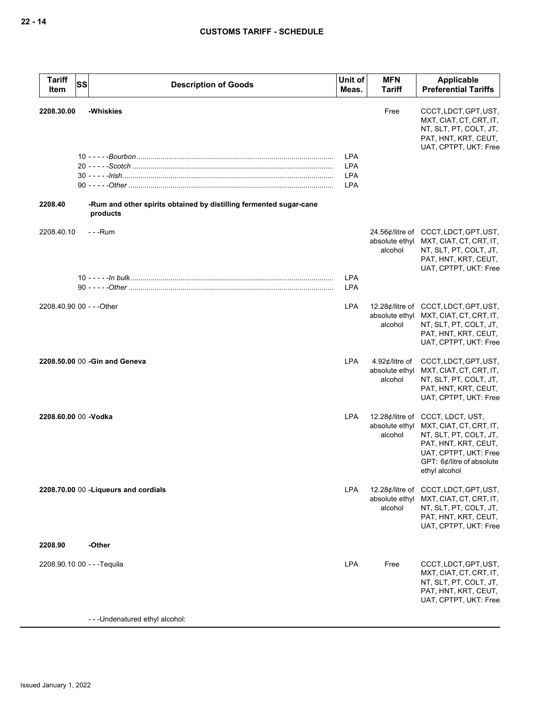| <b>Tariff</b><br>Item       | <b>SS</b> | <b>Description of Goods</b>                                                    | Unit of<br>Meas.                                     | <b>MFN</b><br>Tariff                        | Applicable<br><b>Preferential Tariffs</b>                                                                                                                                            |
|-----------------------------|-----------|--------------------------------------------------------------------------------|------------------------------------------------------|---------------------------------------------|--------------------------------------------------------------------------------------------------------------------------------------------------------------------------------------|
| 2208.30.00                  |           | -Whiskies                                                                      |                                                      | Free                                        | CCCT, LDCT, GPT, UST,<br>MXT, CIAT, CT, CRT, IT,<br>NT, SLT, PT, COLT, JT,<br>PAT, HNT, KRT, CEUT,                                                                                   |
|                             |           |                                                                                | <b>LPA</b><br><b>LPA</b><br><b>LPA</b><br><b>LPA</b> |                                             | UAT, CPTPT, UKT: Free                                                                                                                                                                |
| 2208.40                     |           | -Rum and other spirits obtained by distilling fermented sugar-cane<br>products |                                                      |                                             |                                                                                                                                                                                      |
| 2208.40.10                  |           | - - -Rum                                                                       |                                                      | absolute ethyl<br>alcohol                   | 24.56¢/litre of CCCT, LDCT, GPT, UST,<br>MXT, CIAT, CT, CRT, IT,<br>NT, SLT, PT, COLT, JT,<br>PAT, HNT, KRT, CEUT,<br>UAT, CPTPT, UKT: Free                                          |
|                             |           |                                                                                | <b>LPA</b><br><b>LPA</b>                             |                                             |                                                                                                                                                                                      |
| 2208.40.90 00 - - - Other   |           |                                                                                | <b>LPA</b>                                           | alcohol                                     | 12.28¢/litre of CCCT, LDCT, GPT, UST,<br>absolute ethyl MXT, CIAT, CT, CRT, IT,<br>NT, SLT, PT, COLT, JT,<br>PAT, HNT, KRT, CEUT,<br>UAT, CPTPT, UKT: Free                           |
|                             |           | 2208.50.00 00 - Gin and Geneva                                                 | <b>LPA</b>                                           | 4.92¢/litre of<br>absolute ethyl<br>alcohol | CCCT, LDCT, GPT, UST,<br>MXT, CIAT, CT, CRT, IT,<br>NT, SLT, PT, COLT, JT,<br>PAT, HNT, KRT, CEUT,<br>UAT, CPTPT, UKT: Free                                                          |
| 2208.60.00 00 -Vodka        |           |                                                                                | LPA                                                  | absolute ethyl<br>alcohol                   | 12.28¢/litre of CCCT, LDCT, UST,<br>MXT, CIAT, CT, CRT, IT,<br>NT, SLT, PT, COLT, JT,<br>PAT, HNT, KRT, CEUT,<br>UAT, CPTPT, UKT: Free<br>GPT: 6¢/litre of absolute<br>ethyl alcohol |
|                             |           | 2208.70.00 00 - Liqueurs and cordials                                          | <b>LPA</b>                                           | absolute ethyl<br>alcohol                   | 12.28¢/litre of CCCT, LDCT, GPT, UST,<br>MXT, CIAT, CT, CRT, IT,<br>NT, SLT, PT, COLT, JT,<br>PAT, HNT, KRT, CEUT,<br>UAT, CPTPT, UKT: Free                                          |
| 2208.90                     |           | -Other                                                                         |                                                      |                                             |                                                                                                                                                                                      |
| 2208.90.10 00 - - - Tequila |           |                                                                                | LPA                                                  | Free                                        | CCCT, LDCT, GPT, UST,<br>MXT, CIAT, CT, CRT, IT,<br>NT, SLT, PT, COLT, JT,<br>PAT, HNT, KRT, CEUT,<br>UAT, CPTPT, UKT: Free                                                          |
|                             |           | - - - Undenatured ethyl alcohol:                                               |                                                      |                                             |                                                                                                                                                                                      |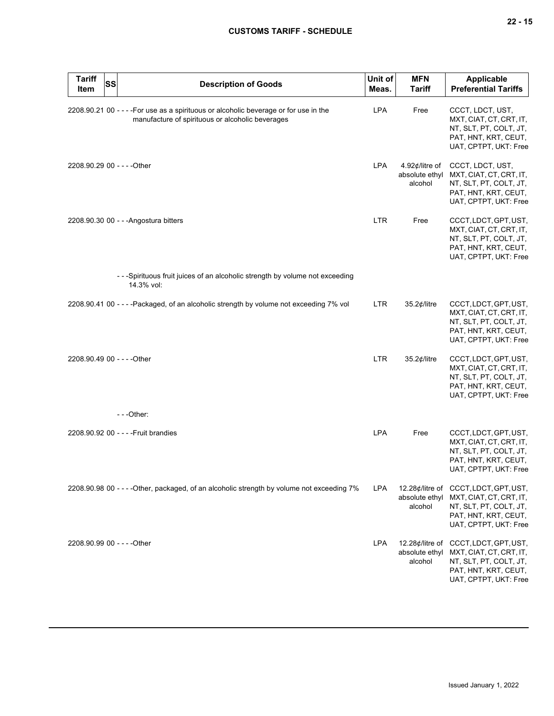| <b>Tariff</b><br>Item       | SS | <b>Description of Goods</b>                                                                                                               | Unit of<br>Meas. | <b>MFN</b><br><b>Tariff</b>                  | Applicable<br><b>Preferential Tariffs</b>                                                                                                   |
|-----------------------------|----|-------------------------------------------------------------------------------------------------------------------------------------------|------------------|----------------------------------------------|---------------------------------------------------------------------------------------------------------------------------------------------|
|                             |    | 2208.90.21 00 - - - - For use as a spirituous or alcoholic beverage or for use in the<br>manufacture of spirituous or alcoholic beverages | <b>LPA</b>       | Free                                         | CCCT, LDCT, UST,<br>MXT, CIAT, CT, CRT, IT,<br>NT, SLT, PT, COLT, JT,<br>PAT, HNT, KRT, CEUT,<br>UAT, CPTPT, UKT: Free                      |
| 2208.90.29 00 - - - - Other |    |                                                                                                                                           | <b>LPA</b>       | 4.92¢/litre of<br>absolute ethyl<br>alcohol  | CCCT, LDCT, UST,<br>MXT, CIAT, CT, CRT, IT,<br>NT, SLT, PT, COLT, JT,<br>PAT, HNT, KRT, CEUT,<br>UAT, CPTPT, UKT: Free                      |
|                             |    | 2208.90.30 00 - - - Angostura bitters                                                                                                     | <b>LTR</b>       | Free                                         | CCCT, LDCT, GPT, UST,<br>MXT, CIAT, CT, CRT, IT,<br>NT, SLT, PT, COLT, JT,<br>PAT, HNT, KRT, CEUT,<br>UAT, CPTPT, UKT: Free                 |
|                             |    | --Spirituous fruit juices of an alcoholic strength by volume not exceeding<br>14.3% vol:                                                  |                  |                                              |                                                                                                                                             |
|                             |    | 2208.90.41 00 - - - - Packaged, of an alcoholic strength by volume not exceeding 7% vol                                                   | <b>LTR</b>       | 35.2¢/litre                                  | CCCT, LDCT, GPT, UST,<br>MXT, CIAT, CT, CRT, IT,<br>NT, SLT, PT, COLT, JT,<br>PAT, HNT, KRT, CEUT,<br>UAT, CPTPT, UKT: Free                 |
| 2208.90.49 00 - - - - Other |    |                                                                                                                                           | <b>LTR</b>       | 35.2¢/litre                                  | CCCT, LDCT, GPT, UST,<br>MXT, CIAT, CT, CRT, IT,<br>NT, SLT, PT, COLT, JT,<br>PAT, HNT, KRT, CEUT,<br>UAT, CPTPT, UKT: Free                 |
|                             |    | ---Other:                                                                                                                                 |                  |                                              |                                                                                                                                             |
|                             |    | 2208.90.92 00 - - - - Fruit brandies                                                                                                      | <b>LPA</b>       | Free                                         | CCCT, LDCT, GPT, UST,<br>MXT, CIAT, CT, CRT, IT,<br>NT, SLT, PT, COLT, JT,<br>PAT, HNT, KRT, CEUT,<br>UAT, CPTPT, UKT: Free                 |
|                             |    | 2208.90.98 00 - - - - Other, packaged, of an alcoholic strength by volume not exceeding 7%                                                | <b>LPA</b>       | absolute ethyl<br>alcohol                    | 12.28¢/litre of CCCT, LDCT, GPT, UST,<br>MXT, CIAT, CT, CRT, IT,<br>NT, SLT, PT, COLT, JT,<br>PAT, HNT, KRT, CEUT,<br>UAT, CPTPT, UKT: Free |
| 2208.90.99 00 - - - - Other |    |                                                                                                                                           | <b>LPA</b>       | 12.28¢/litre of<br>absolute ethyl<br>alcohol | CCCT, LDCT, GPT, UST,<br>MXT, CIAT, CT, CRT, IT,<br>NT, SLT, PT, COLT, JT,<br>PAT, HNT, KRT, CEUT,<br>UAT, CPTPT, UKT: Free                 |